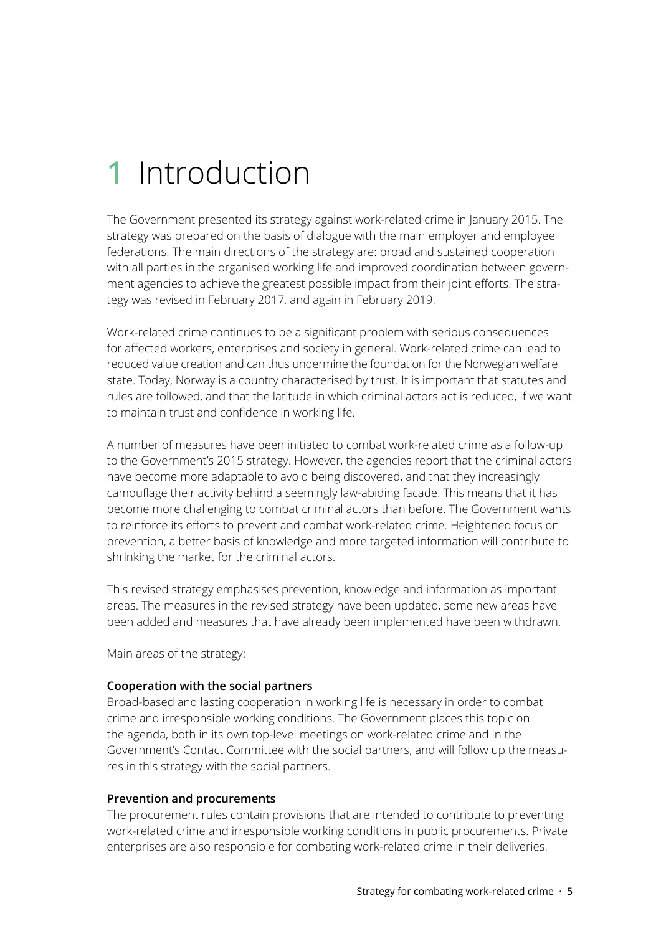# **1** Introduction

The Government presented its strategy against work-related crime in January 2015. The strategy was prepared on the basis of dialogue with the main employer and employee federations. The main directions of the strategy are: broad and sustained cooperation with all parties in the organised working life and improved coordination between government agencies to achieve the greatest possible impact from their joint efforts. The strategy was revised in February 2017, and again in February 2019.

Work-related crime continues to be a significant problem with serious consequences for affected workers, enterprises and society in general. Work-related crime can lead to reduced value creation and can thus undermine the foundation for the Norwegian welfare state. Today, Norway is a country characterised by trust. It is important that statutes and rules are followed, and that the latitude in which criminal actors act is reduced, if we want to maintain trust and confidence in working life.

A number of measures have been initiated to combat work-related crime as a follow-up to the Government's 2015 strategy. However, the agencies report that the criminal actors have become more adaptable to avoid being discovered, and that they increasingly camouflage their activity behind a seemingly law-abiding facade. This means that it has become more challenging to combat criminal actors than before. The Government wants to reinforce its efforts to prevent and combat work-related crime. Heightened focus on prevention, a better basis of knowledge and more targeted information will contribute to shrinking the market for the criminal actors.

This revised strategy emphasises prevention, knowledge and information as important areas. The measures in the revised strategy have been updated, some new areas have been added and measures that have already been implemented have been withdrawn.

Main areas of the strategy:

# **Cooperation with the social partners**

Broad-based and lasting cooperation in working life is necessary in order to combat crime and irresponsible working conditions. The Government places this topic on the agenda, both in its own top-level meetings on work-related crime and in the Government's Contact Committee with the social partners, and will follow up the measures in this strategy with the social partners.

#### **Prevention and procurements**

The procurement rules contain provisions that are intended to contribute to preventing work-related crime and irresponsible working conditions in public procurements. Private enterprises are also responsible for combating work-related crime in their deliveries.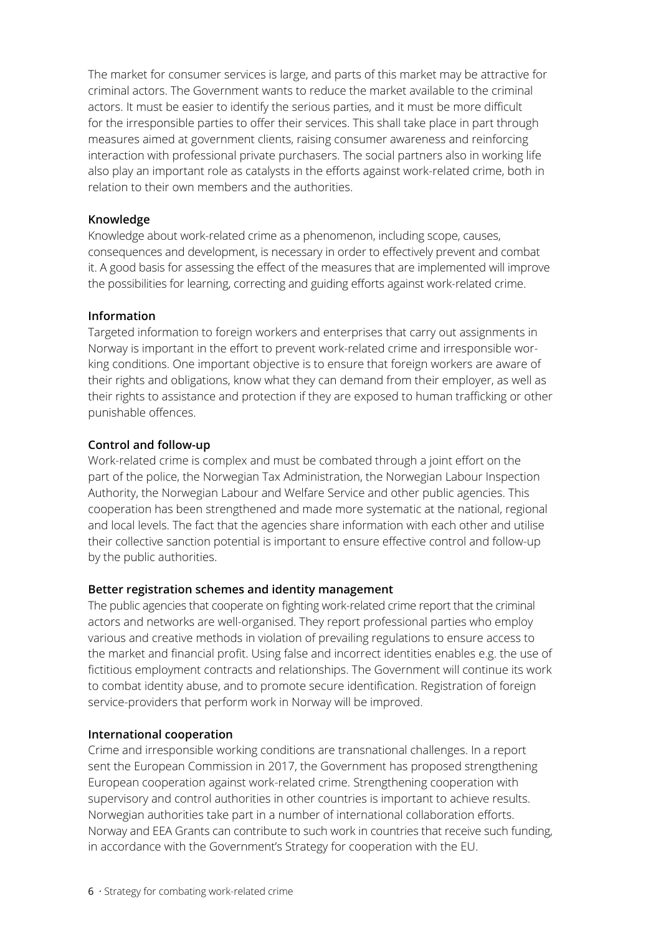The market for consumer services is large, and parts of this market may be attractive for criminal actors. The Government wants to reduce the market available to the criminal actors. It must be easier to identify the serious parties, and it must be more difficult for the irresponsible parties to offer their services. This shall take place in part through measures aimed at government clients, raising consumer awareness and reinforcing interaction with professional private purchasers. The social partners also in working life also play an important role as catalysts in the efforts against work-related crime, both in relation to their own members and the authorities.

#### **Knowledge**

Knowledge about work-related crime as a phenomenon, including scope, causes, consequences and development, is necessary in order to effectively prevent and combat it. A good basis for assessing the effect of the measures that are implemented will improve the possibilities for learning, correcting and guiding efforts against work-related crime.

#### **Information**

Targeted information to foreign workers and enterprises that carry out assignments in Norway is important in the effort to prevent work-related crime and irresponsible working conditions. One important objective is to ensure that foreign workers are aware of their rights and obligations, know what they can demand from their employer, as well as their rights to assistance and protection if they are exposed to human trafficking or other punishable offences.

#### **Control and follow-up**

Work-related crime is complex and must be combated through a joint effort on the part of the police, the Norwegian Tax Administration, the Norwegian Labour Inspection Authority, the Norwegian Labour and Welfare Service and other public agencies. This cooperation has been strengthened and made more systematic at the national, regional and local levels. The fact that the agencies share information with each other and utilise their collective sanction potential is important to ensure effective control and follow-up by the public authorities.

#### **Better registration schemes and identity management**

The public agencies that cooperate on fighting work-related crime report that the criminal actors and networks are well-organised. They report professional parties who employ various and creative methods in violation of prevailing regulations to ensure access to the market and financial profit. Using false and incorrect identities enables e.g. the use of fictitious employment contracts and relationships. The Government will continue its work to combat identity abuse, and to promote secure identification. Registration of foreign service-providers that perform work in Norway will be improved.

#### **International cooperation**

Crime and irresponsible working conditions are transnational challenges. In a report sent the European Commission in 2017, the Government has proposed strengthening European cooperation against work-related crime. Strengthening cooperation with supervisory and control authorities in other countries is important to achieve results. Norwegian authorities take part in a number of international collaboration efforts. Norway and EEA Grants can contribute to such work in countries that receive such funding, in accordance with the Government's Strategy for cooperation with the EU.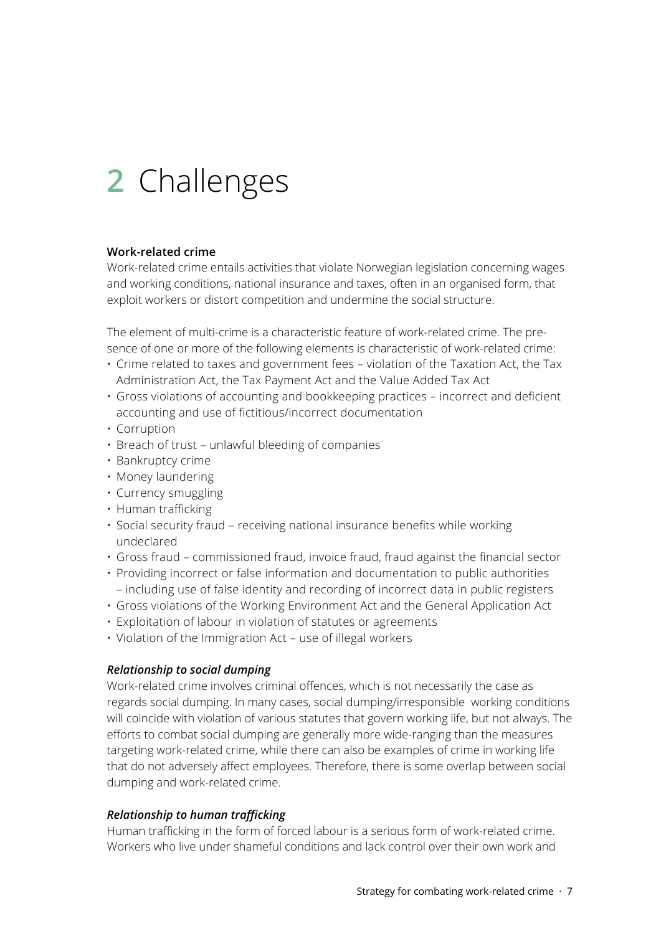# **2** Challenges

### **Work-related crime**

Work-related crime entails activities that violate Norwegian legislation concerning wages and working conditions, national insurance and taxes, often in an organised form, that exploit workers or distort competition and undermine the social structure.

The element of multi-crime is a characteristic feature of work-related crime. The presence of one or more of the following elements is characteristic of work-related crime:

- Crime related to taxes and government fees violation of the Taxation Act, the Tax Administration Act, the Tax Payment Act and the Value Added Tax Act
- Gross violations of accounting and bookkeeping practices incorrect and deficient accounting and use of fictitious/incorrect documentation
- Corruption
- Breach of trust unlawful bleeding of companies
- Bankruptcy crime
- Money laundering
- Currency smuggling
- Human trafficking
- Social security fraud receiving national insurance benefits while working undeclared
- Gross fraud commissioned fraud, invoice fraud, fraud against the financial sector
- Providing incorrect or false information and documentation to public authorities – including use of false identity and recording of incorrect data in public registers
- Gross violations of the Working Environment Act and the General Application Act
- Exploitation of labour in violation of statutes or agreements
- Violation of the Immigration Act use of illegal workers

# *Relationship to social dumping*

Work-related crime involves criminal offences, which is not necessarily the case as regards social dumping. In many cases, social dumping/irresponsible working conditions will coincide with violation of various statutes that govern working life, but not always. The efforts to combat social dumping are generally more wide-ranging than the measures targeting work-related crime, while there can also be examples of crime in working life that do not adversely affect employees. Therefore, there is some overlap between social dumping and work-related crime.

#### *Relationship to human trafficking*

Human trafficking in the form of forced labour is a serious form of work-related crime. Workers who live under shameful conditions and lack control over their own work and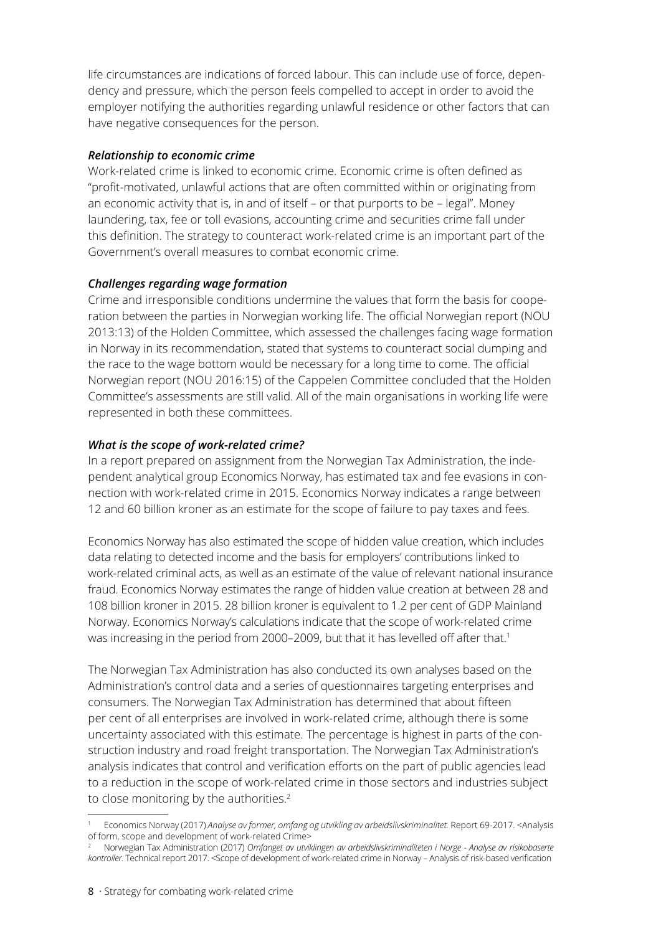life circumstances are indications of forced labour. This can include use of force, dependency and pressure, which the person feels compelled to accept in order to avoid the employer notifying the authorities regarding unlawful residence or other factors that can have negative consequences for the person.

### *Relationship to economic crime*

Work-related crime is linked to economic crime. Economic crime is often defined as "profit-motivated, unlawful actions that are often committed within or originating from an economic activity that is, in and of itself – or that purports to be – legal". Money laundering, tax, fee or toll evasions, accounting crime and securities crime fall under this definition. The strategy to counteract work-related crime is an important part of the Government's overall measures to combat economic crime.

# *Challenges regarding wage formation*

Crime and irresponsible conditions undermine the values that form the basis for cooperation between the parties in Norwegian working life. The official Norwegian report (NOU 2013:13) of the Holden Committee, which assessed the challenges facing wage formation in Norway in its recommendation, stated that systems to counteract social dumping and the race to the wage bottom would be necessary for a long time to come. The official Norwegian report (NOU 2016:15) of the Cappelen Committee concluded that the Holden Committee's assessments are still valid. All of the main organisations in working life were represented in both these committees.

# *What is the scope of work-related crime?*

In a report prepared on assignment from the Norwegian Tax Administration, the independent analytical group Economics Norway, has estimated tax and fee evasions in connection with work-related crime in 2015. Economics Norway indicates a range between 12 and 60 billion kroner as an estimate for the scope of failure to pay taxes and fees.

Economics Norway has also estimated the scope of hidden value creation, which includes data relating to detected income and the basis for employers' contributions linked to work-related criminal acts, as well as an estimate of the value of relevant national insurance fraud. Economics Norway estimates the range of hidden value creation at between 28 and 108 billion kroner in 2015. 28 billion kroner is equivalent to 1.2 per cent of GDP Mainland Norway. Economics Norway's calculations indicate that the scope of work-related crime was increasing in the period from 2000–2009, but that it has levelled off after that.<sup>1</sup>

The Norwegian Tax Administration has also conducted its own analyses based on the Administration's control data and a series of questionnaires targeting enterprises and consumers. The Norwegian Tax Administration has determined that about fifteen per cent of all enterprises are involved in work-related crime, although there is some uncertainty associated with this estimate. The percentage is highest in parts of the construction industry and road freight transportation. The Norwegian Tax Administration's analysis indicates that control and verification efforts on the part of public agencies lead to a reduction in the scope of work-related crime in those sectors and industries subject to close monitoring by the authorities.<sup>2</sup>

<sup>1</sup> Economics Norway (2017) *Analyse av former, omfang og utvikling av arbeidslivskriminalitet.* Report 69-2017. <Analysis of form, scope and development of work-related Crime>

<sup>2</sup> Norwegian Tax Administration (2017) *Omfanget av utviklingen av arbeidslivskriminaliteten i Norge - Analyse av risikobaserte kontroller.* Technical report 2017. <Scope of development of work-related crime in Norway – Analysis of risk-based verification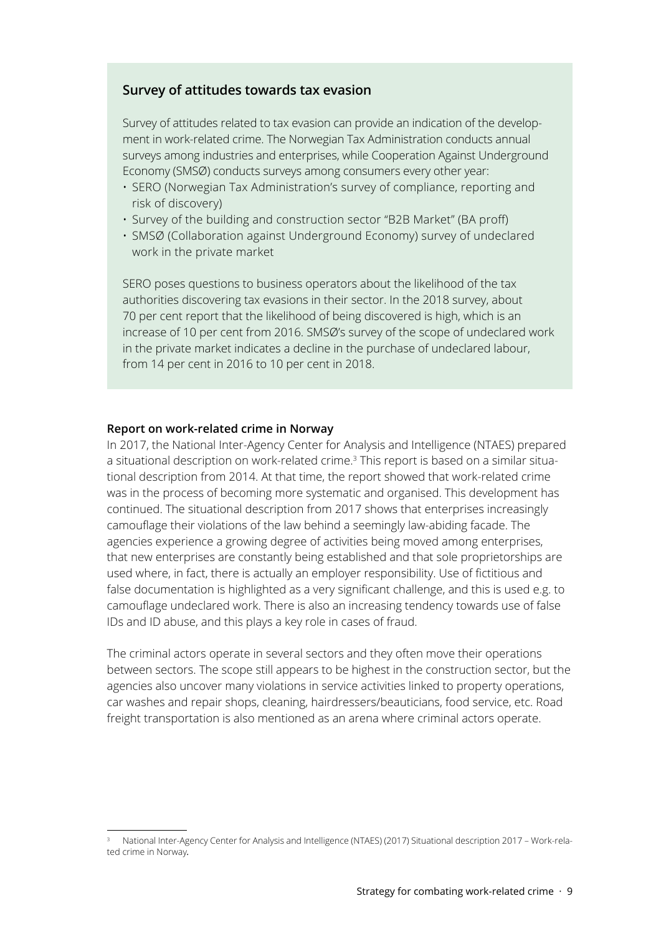### **Survey of attitudes towards tax evasion**

Survey of attitudes related to tax evasion can provide an indication of the development in work-related crime. The Norwegian Tax Administration conducts annual surveys among industries and enterprises, while Cooperation Against Underground Economy (SMSØ) conducts surveys among consumers every other year:

- SERO (Norwegian Tax Administration's survey of compliance, reporting and risk of discovery)
- Survey of the building and construction sector "B2B Market" (BA proff)
- SMSØ (Collaboration against Underground Economy) survey of undeclared work in the private market

SERO poses questions to business operators about the likelihood of the tax authorities discovering tax evasions in their sector. In the 2018 survey, about 70 per cent report that the likelihood of being discovered is high, which is an increase of 10 per cent from 2016. SMSØ's survey of the scope of undeclared work in the private market indicates a decline in the purchase of undeclared labour, from 14 per cent in 2016 to 10 per cent in 2018.

#### **Report on work-related crime in Norway**

In 2017, the National Inter-Agency Center for Analysis and Intelligence (NTAES) prepared a situational description on work-related crime.3 This report is based on a similar situational description from 2014. At that time, the report showed that work-related crime was in the process of becoming more systematic and organised. This development has continued. The situational description from 2017 shows that enterprises increasingly camouflage their violations of the law behind a seemingly law-abiding facade. The agencies experience a growing degree of activities being moved among enterprises, that new enterprises are constantly being established and that sole proprietorships are used where, in fact, there is actually an employer responsibility. Use of fictitious and false documentation is highlighted as a very significant challenge, and this is used e.g. to camouflage undeclared work. There is also an increasing tendency towards use of false IDs and ID abuse, and this plays a key role in cases of fraud.

The criminal actors operate in several sectors and they often move their operations between sectors. The scope still appears to be highest in the construction sector, but the agencies also uncover many violations in service activities linked to property operations, car washes and repair shops, cleaning, hairdressers/beauticians, food service, etc. Road freight transportation is also mentioned as an arena where criminal actors operate.

<sup>3</sup> National Inter-Agency Center for Analysis and Intelligence (NTAES) (2017) Situational description 2017 – Work-related crime in Norway*.*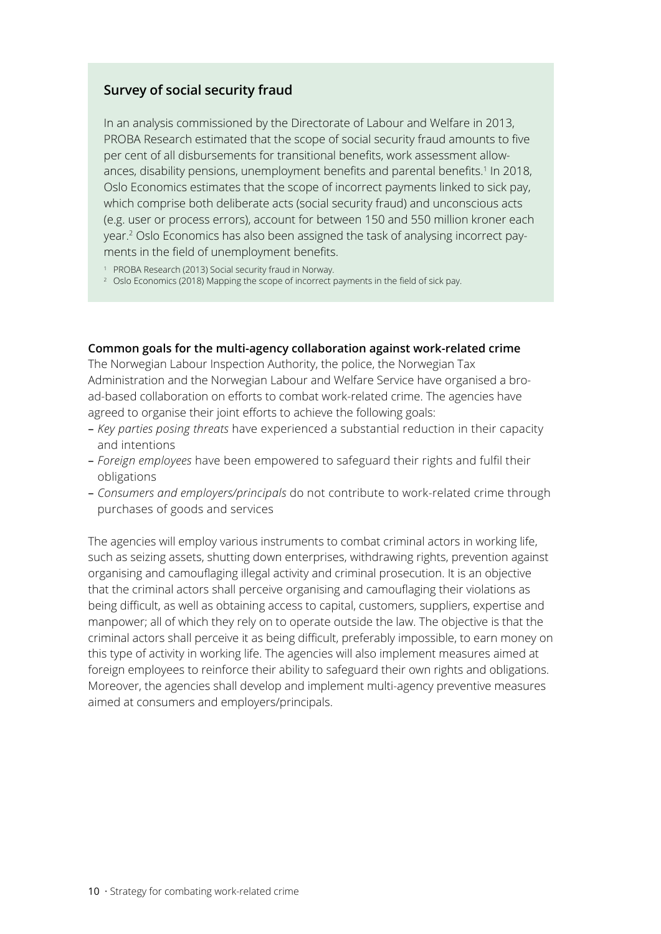# **Survey of social security fraud**

In an analysis commissioned by the Directorate of Labour and Welfare in 2013, PROBA Research estimated that the scope of social security fraud amounts to five per cent of all disbursements for transitional benefits, work assessment allowances, disability pensions, unemployment benefits and parental benefits.<sup>1</sup> In 2018, Oslo Economics estimates that the scope of incorrect payments linked to sick pay, which comprise both deliberate acts (social security fraud) and unconscious acts (e.g. user or process errors), account for between 150 and 550 million kroner each year.2 Oslo Economics has also been assigned the task of analysing incorrect payments in the field of unemployment benefits.

<sup>1</sup> PROBA Research (2013) Social security fraud in Norway.

<sup>2</sup> Oslo Economics (2018) Mapping the scope of incorrect payments in the field of sick pay.

#### **Common goals for the multi-agency collaboration against work-related crime**

The Norwegian Labour Inspection Authority, the police, the Norwegian Tax Administration and the Norwegian Labour and Welfare Service have organised a broad-based collaboration on efforts to combat work-related crime. The agencies have agreed to organise their joint efforts to achieve the following goals:

- *Key parties posing threats* have experienced a substantial reduction in their capacity and intentions
- *Foreign employees* have been empowered to safeguard their rights and fulfil their obligations
- *Consumers and employers/principals* do not contribute to work-related crime through purchases of goods and services

The agencies will employ various instruments to combat criminal actors in working life, such as seizing assets, shutting down enterprises, withdrawing rights, prevention against organising and camouflaging illegal activity and criminal prosecution. It is an objective that the criminal actors shall perceive organising and camouflaging their violations as being difficult, as well as obtaining access to capital, customers, suppliers, expertise and manpower; all of which they rely on to operate outside the law. The objective is that the criminal actors shall perceive it as being difficult, preferably impossible, to earn money on this type of activity in working life. The agencies will also implement measures aimed at foreign employees to reinforce their ability to safeguard their own rights and obligations. Moreover, the agencies shall develop and implement multi-agency preventive measures aimed at consumers and employers/principals.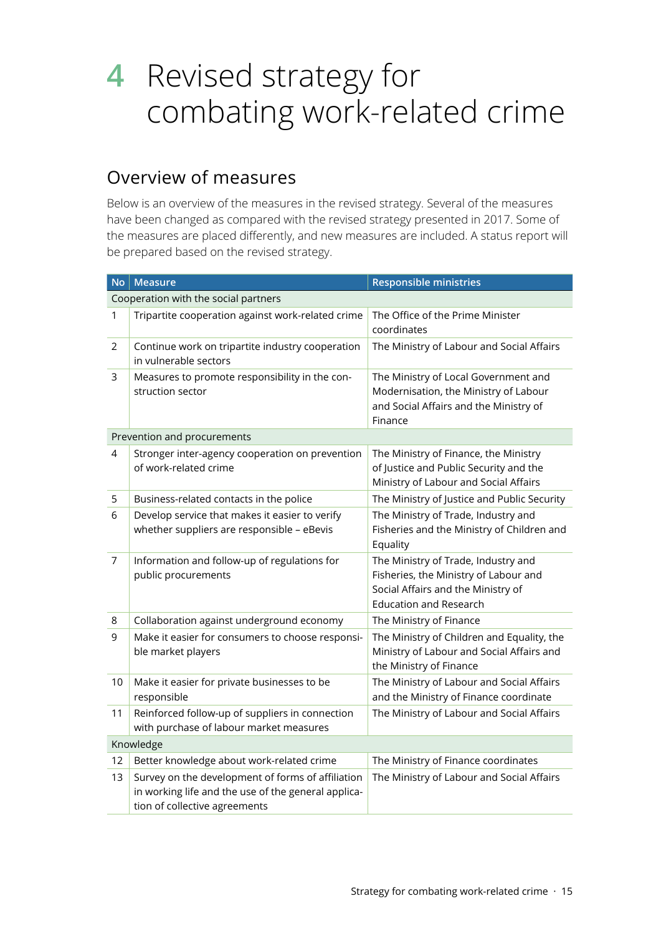# **4** Revised strategy for combating work-related crime

# Overview of measures

Below is an overview of the measures in the revised strategy. Several of the measures have been changed as compared with the revised strategy presented in 2017. Some of the measures are placed differently, and new measures are included. A status report will be prepared based on the revised strategy.

| <b>No</b>                            | <b>Measure</b>                                                                                                                            | <b>Responsible ministries</b>                                                                                                                       |  |
|--------------------------------------|-------------------------------------------------------------------------------------------------------------------------------------------|-----------------------------------------------------------------------------------------------------------------------------------------------------|--|
| Cooperation with the social partners |                                                                                                                                           |                                                                                                                                                     |  |
| 1                                    | Tripartite cooperation against work-related crime                                                                                         | The Office of the Prime Minister<br>coordinates                                                                                                     |  |
| 2                                    | Continue work on tripartite industry cooperation<br>in vulnerable sectors                                                                 | The Ministry of Labour and Social Affairs                                                                                                           |  |
| 3                                    | Measures to promote responsibility in the con-<br>struction sector                                                                        | The Ministry of Local Government and<br>Modernisation, the Ministry of Labour<br>and Social Affairs and the Ministry of<br>Finance                  |  |
| Prevention and procurements          |                                                                                                                                           |                                                                                                                                                     |  |
| 4                                    | Stronger inter-agency cooperation on prevention<br>of work-related crime                                                                  | The Ministry of Finance, the Ministry<br>of Justice and Public Security and the<br>Ministry of Labour and Social Affairs                            |  |
| 5                                    | Business-related contacts in the police                                                                                                   | The Ministry of Justice and Public Security                                                                                                         |  |
| 6                                    | Develop service that makes it easier to verify<br>whether suppliers are responsible - eBevis                                              | The Ministry of Trade, Industry and<br>Fisheries and the Ministry of Children and<br>Equality                                                       |  |
| 7                                    | Information and follow-up of regulations for<br>public procurements                                                                       | The Ministry of Trade, Industry and<br>Fisheries, the Ministry of Labour and<br>Social Affairs and the Ministry of<br><b>Education and Research</b> |  |
| 8                                    | Collaboration against underground economy                                                                                                 | The Ministry of Finance                                                                                                                             |  |
| 9                                    | Make it easier for consumers to choose responsi-<br>ble market players                                                                    | The Ministry of Children and Equality, the<br>Ministry of Labour and Social Affairs and<br>the Ministry of Finance                                  |  |
| 10                                   | Make it easier for private businesses to be<br>responsible                                                                                | The Ministry of Labour and Social Affairs<br>and the Ministry of Finance coordinate                                                                 |  |
| 11                                   | Reinforced follow-up of suppliers in connection<br>with purchase of labour market measures                                                | The Ministry of Labour and Social Affairs                                                                                                           |  |
| Knowledge                            |                                                                                                                                           |                                                                                                                                                     |  |
| 12                                   | Better knowledge about work-related crime                                                                                                 | The Ministry of Finance coordinates                                                                                                                 |  |
| 13                                   | Survey on the development of forms of affiliation<br>in working life and the use of the general applica-<br>tion of collective agreements | The Ministry of Labour and Social Affairs                                                                                                           |  |